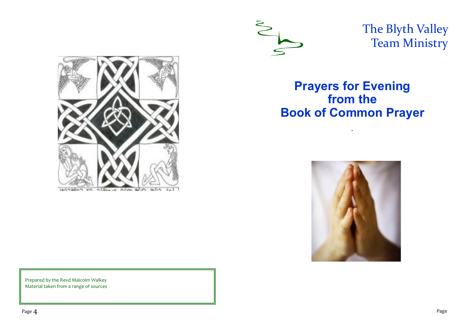

The Blyth Valley Team Ministry



**Prayers for Evening from the Book of Common Prayer**

*.*



Prepared by the Revd Malcolm Walkey Material taken from a range of sources